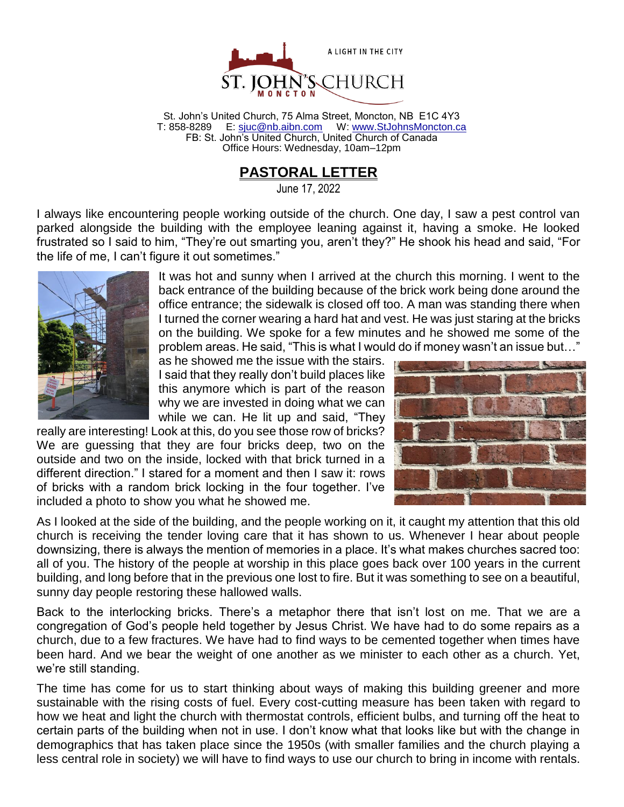

St. John's United Church, 75 Alma Street, Moncton, NB E1C 4Y3 T: 858-8289 E: [sjuc@nb.aibn.com](mailto:sjuc@nb.aibn.com) W: [www.StJohnsMoncton.ca](http://www.stjohnsmoncton.ca/) FB: St. John's United Church, United Church of Canada Office Hours: Wednesday, 10am–12pm

# **PASTORAL LETTER**

June 17, 2022

I always like encountering people working outside of the church. One day, I saw a pest control van parked alongside the building with the employee leaning against it, having a smoke. He looked frustrated so I said to him, "They're out smarting you, aren't they?" He shook his head and said, "For the life of me, I can't figure it out sometimes."



It was hot and sunny when I arrived at the church this morning. I went to the back entrance of the building because of the brick work being done around the office entrance; the sidewalk is closed off too. A man was standing there when I turned the corner wearing a hard hat and vest. He was just staring at the bricks on the building. We spoke for a few minutes and he showed me some of the problem areas. He said, "This is what I would do if money wasn't an issue but…"

as he showed me the issue with the stairs. I said that they really don't build places like this anymore which is part of the reason why we are invested in doing what we can while we can. He lit up and said, "They

really are interesting! Look at this, do you see those row of bricks? We are guessing that they are four bricks deep, two on the outside and two on the inside, locked with that brick turned in a different direction." I stared for a moment and then I saw it: rows of bricks with a random brick locking in the four together. I've included a photo to show you what he showed me.



As I looked at the side of the building, and the people working on it, it caught my attention that this old church is receiving the tender loving care that it has shown to us. Whenever I hear about people downsizing, there is always the mention of memories in a place. It's what makes churches sacred too: all of you. The history of the people at worship in this place goes back over 100 years in the current building, and long before that in the previous one lost to fire. But it was something to see on a beautiful, sunny day people restoring these hallowed walls.

Back to the interlocking bricks. There's a metaphor there that isn't lost on me. That we are a congregation of God's people held together by Jesus Christ. We have had to do some repairs as a church, due to a few fractures. We have had to find ways to be cemented together when times have been hard. And we bear the weight of one another as we minister to each other as a church. Yet, we're still standing.

The time has come for us to start thinking about ways of making this building greener and more sustainable with the rising costs of fuel. Every cost-cutting measure has been taken with regard to how we heat and light the church with thermostat controls, efficient bulbs, and turning off the heat to certain parts of the building when not in use. I don't know what that looks like but with the change in demographics that has taken place since the 1950s (with smaller families and the church playing a less central role in society) we will have to find ways to use our church to bring in income with rentals.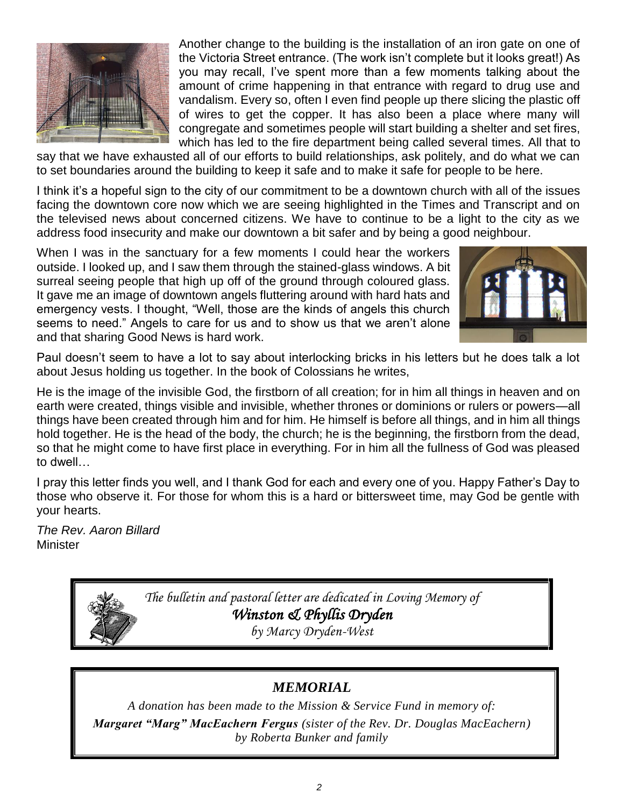

Another change to the building is the installation of an iron gate on one of the Victoria Street entrance. (The work isn't complete but it looks great!) As you may recall, I've spent more than a few moments talking about the amount of crime happening in that entrance with regard to drug use and vandalism. Every so, often I even find people up there slicing the plastic off of wires to get the copper. It has also been a place where many will congregate and sometimes people will start building a shelter and set fires, which has led to the fire department being called several times. All that to

say that we have exhausted all of our efforts to build relationships, ask politely, and do what we can to set boundaries around the building to keep it safe and to make it safe for people to be here.

I think it's a hopeful sign to the city of our commitment to be a downtown church with all of the issues facing the downtown core now which we are seeing highlighted in the Times and Transcript and on the televised news about concerned citizens. We have to continue to be a light to the city as we address food insecurity and make our downtown a bit safer and by being a good neighbour.

When I was in the sanctuary for a few moments I could hear the workers outside. I looked up, and I saw them through the stained-glass windows. A bit surreal seeing people that high up off of the ground through coloured glass. It gave me an image of downtown angels fluttering around with hard hats and emergency vests. I thought, "Well, those are the kinds of angels this church seems to need." Angels to care for us and to show us that we aren't alone and that sharing Good News is hard work.



Paul doesn't seem to have a lot to say about interlocking bricks in his letters but he does talk a lot about Jesus holding us together. In the book of Colossians he writes,

He is the image of the invisible God, the firstborn of all creation; for in him all things in heaven and on earth were created, things visible and invisible, whether thrones or dominions or rulers or powers—all things have been created through him and for him. He himself is before all things, and in him all things hold together. He is the head of the body, the church; he is the beginning, the firstborn from the dead, so that he might come to have first place in everything. For in him all the fullness of God was pleased to dwell…

I pray this letter finds you well, and I thank God for each and every one of you. Happy Father's Day to those who observe it. For those for whom this is a hard or bittersweet time, may God be gentle with your hearts.

*The Rev. Aaron Billard* **Minister** 

> *The bulletin and pastoral letter are dedicated in Loving Memory of Winston & Phyllis Dryden*

*by Marcy Dryden-West*

## *MEMORIAL*

*A donation has been made to the Mission & Service Fund in memory of: Margaret "Marg" MacEachern Fergus (sister of the Rev. Dr. Douglas MacEachern) by Roberta Bunker and family*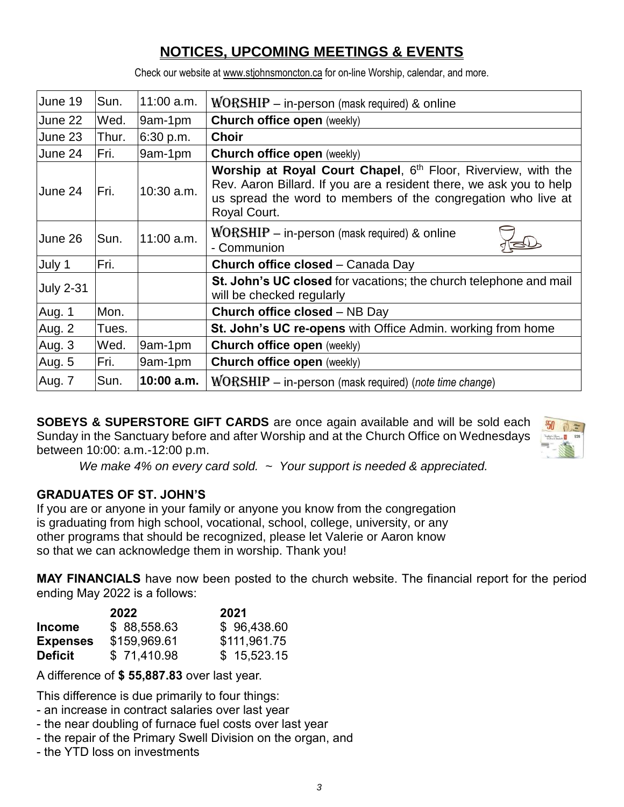# **NOTICES, UPCOMING MEETINGS & EVENTS**

Check our website at www.stjohnsmoncton.ca for on-line Worship, calendar, and more.

| June 19          | Sun.  | $11:00$ a.m. | $WORSHIP$ – in-person (mask required) & online                                                                                                                                                                        |  |
|------------------|-------|--------------|-----------------------------------------------------------------------------------------------------------------------------------------------------------------------------------------------------------------------|--|
| June 22          | Wed.  | 9am-1pm      | <b>Church office open (weekly)</b>                                                                                                                                                                                    |  |
| June 23          | Thur. | 6:30 p.m.    | <b>Choir</b>                                                                                                                                                                                                          |  |
| June 24          | Fri.  | 9am-1pm      | <b>Church office open (weekly)</b>                                                                                                                                                                                    |  |
| June 24          | Fri.  | $10:30$ a.m. | Worship at Royal Court Chapel, 6th Floor, Riverview, with the<br>Rev. Aaron Billard. If you are a resident there, we ask you to help<br>us spread the word to members of the congregation who live at<br>Royal Court. |  |
| June 26          | Sun.  | $11:00$ a.m. | $WORSHIP - in-person$ (mask required) & online<br>- Communion                                                                                                                                                         |  |
| July 1           | Fri.  |              | Church office closed - Canada Day                                                                                                                                                                                     |  |
| <b>July 2-31</b> |       |              | St. John's UC closed for vacations; the church telephone and mail<br>will be checked regularly                                                                                                                        |  |
| Aug. 1           | Mon.  |              | <b>Church office closed - NB Day</b>                                                                                                                                                                                  |  |
| Aug. 2           | Tues. |              | St. John's UC re-opens with Office Admin. working from home                                                                                                                                                           |  |
| Aug. 3           | Wed.  | 9am-1pm      | <b>Church office open (weekly)</b>                                                                                                                                                                                    |  |
| Aug. 5           | Fri.  | 9am-1pm      | <b>Church office open (weekly)</b>                                                                                                                                                                                    |  |
| Aug. 7           | Sun.  | $10:00$ a.m. | $WORSHIP$ – in-person (mask required) (note time change)                                                                                                                                                              |  |

**SOBEYS & SUPERSTORE GIFT CARDS** are once again available and will be sold each Sunday in the Sanctuary before and after Worship and at the Church Office on Wednesdays between 10:00: a.m.-12:00 p.m.



*We make 4% on every card sold. ~ Your support is needed & appreciated.*

#### **GRADUATES OF ST. JOHN'S**

If you are or anyone in your family or anyone you know from the congregation is graduating from high school, vocational, school, college, university, or any other programs that should be recognized, please let Valerie or Aaron know so that we can acknowledge them in worship. Thank you!

**MAY FINANCIALS** have now been posted to the church website. The financial report for the period ending May 2022 is a follows:

|                 | 2022         | 2021         |
|-----------------|--------------|--------------|
| <b>Income</b>   | \$88,558.63  | \$96,438.60  |
| <b>Expenses</b> | \$159,969.61 | \$111,961.75 |
| <b>Deficit</b>  | \$71,410.98  | \$15,523.15  |

A difference of **\$ 55,887.83** over last year.

This difference is due primarily to four things:

- an increase in contract salaries over last year
- the near doubling of furnace fuel costs over last year
- the repair of the Primary Swell Division on the organ, and
- the YTD loss on investments